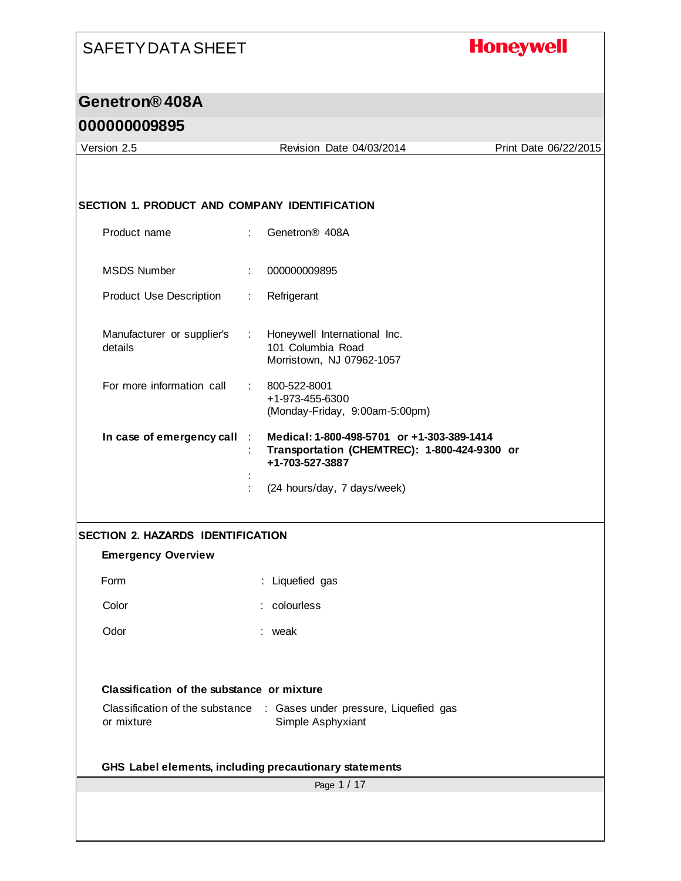# **Honeywell**

#### **Genetron® 408A**

| Version 2.5                                   | Revision Date 04/03/2014                                                                                                   | Print Date 06/22/2015 |
|-----------------------------------------------|----------------------------------------------------------------------------------------------------------------------------|-----------------------|
| SECTION 1. PRODUCT AND COMPANY IDENTIFICATION |                                                                                                                            |                       |
| Product name                                  | Genetron <sup>®</sup> 408A<br>÷.                                                                                           |                       |
| <b>MSDS Number</b>                            | 000000009895                                                                                                               |                       |
| <b>Product Use Description</b>                | Refrigerant<br>÷.                                                                                                          |                       |
| Manufacturer or supplier's<br>details         | Honeywell International Inc.<br>$\mathcal{L}^{\mathcal{L}}$ .<br>101 Columbia Road<br>Morristown, NJ 07962-1057            |                       |
| For more information call                     | 800-522-8001<br>+1-973-455-6300<br>(Monday-Friday, 9:00am-5:00pm)                                                          |                       |
| In case of emergency call                     | Medical: 1-800-498-5701 or +1-303-389-1414<br>$\cdot$ :<br>Transportation (CHEMTREC): 1-800-424-9300 or<br>+1-703-527-3887 |                       |
|                                               | (24 hours/day, 7 days/week)                                                                                                |                       |
| SECTION 2. HAZARDS IDENTIFICATION             |                                                                                                                            |                       |
| <b>Emergency Overview</b>                     |                                                                                                                            |                       |
| Form                                          | : Liquefied gas                                                                                                            |                       |
| Color                                         | : colourless                                                                                                               |                       |
| Odor                                          | weak                                                                                                                       |                       |
| Classification of the substance or mixture    |                                                                                                                            |                       |
| Classification of the substance<br>or mixture | : Gases under pressure, Liquefied gas<br>Simple Asphyxiant                                                                 |                       |
|                                               | GHS Label elements, including precautionary statements                                                                     |                       |
|                                               | Page 1 / 17                                                                                                                |                       |
|                                               |                                                                                                                            |                       |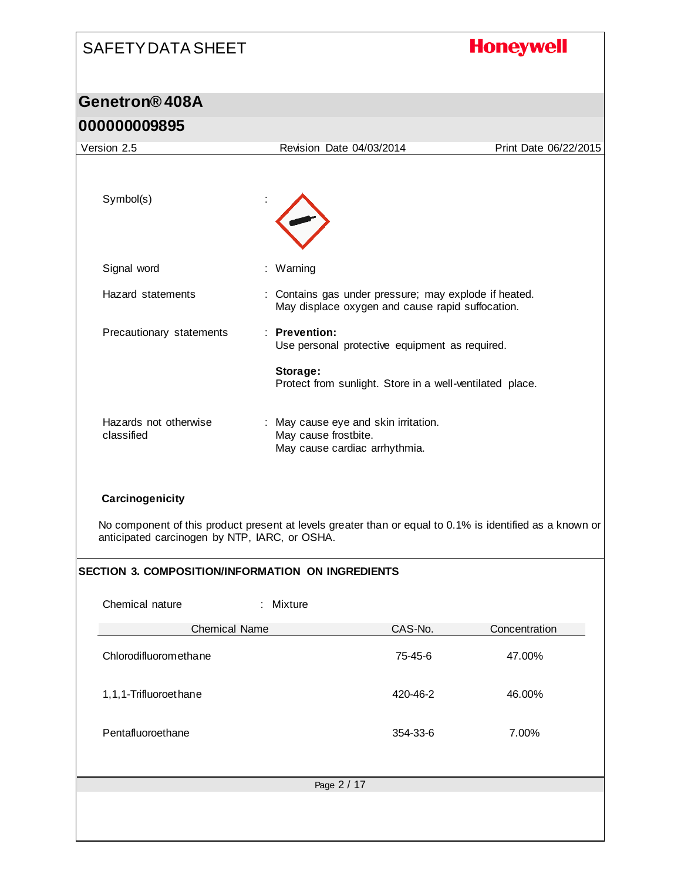# SAFETY DATA SHEET **Honeywell Genetron® 408A 000000009895** Version 2.5 Revision Date 04/03/2014 Print Date 06/22/2015 Symbol(s) : Signal word : Warning Hazard statements : Contains gas under pressure; may explode if heated. May displace oxygen and cause rapid suffocation. Precautionary statements : **Prevention:**  Use personal protective equipment as required. **Storage:**

No component of this product present at levels greater than or equal to 0.1% is identified as a known or anticipated carcinogen by NTP, IARC, or OSHA.

: May cause eye and skin irritation.

May cause cardiac arrhythmia.

May cause frostbite.

Protect from sunlight. Store in a well-ventilated place.

#### **SECTION 3. COMPOSITION/INFORMATION ON INGREDIENTS**

Hazards not otherwise

**Carcinogenicity**

classified

| Chemical nature       | : Mixture   |          |               |
|-----------------------|-------------|----------|---------------|
| <b>Chemical Name</b>  |             | CAS-No.  | Concentration |
| Chlorodifluoromethane |             | 75-45-6  | 47.00%        |
| 1,1,1-Trifluoroethane |             | 420-46-2 | 46.00%        |
| Pentafluoroethane     |             | 354-33-6 | 7.00%         |
|                       |             |          |               |
|                       | Page 2 / 17 |          |               |
|                       |             |          |               |
|                       |             |          |               |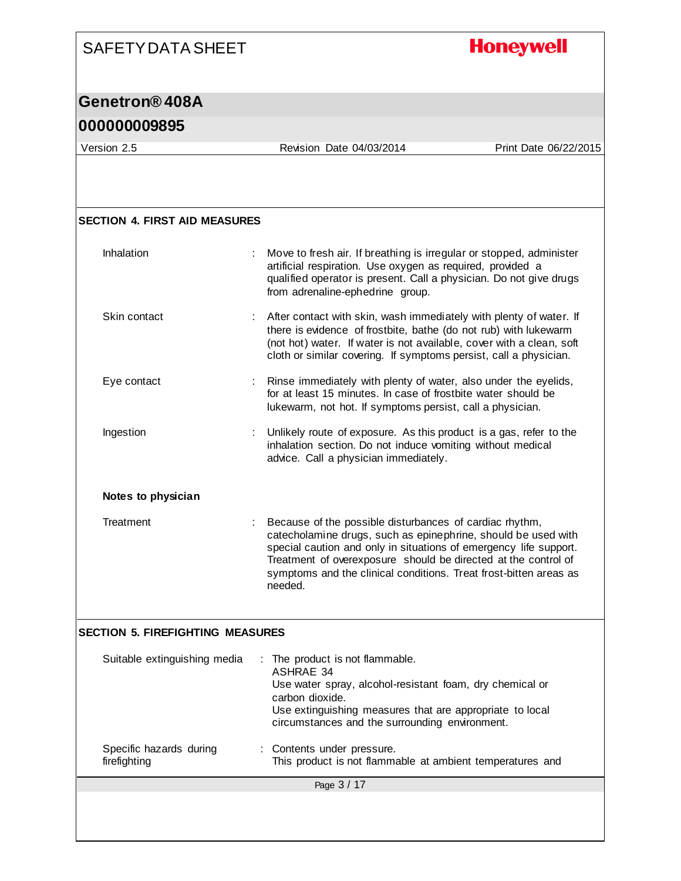# **Honeywell**

#### **Genetron® 408A**

| Version 2.5                             | Revision Date 04/03/2014                                                                                                                                                                                                                                                                                                                        | Print Date 06/22/2015 |
|-----------------------------------------|-------------------------------------------------------------------------------------------------------------------------------------------------------------------------------------------------------------------------------------------------------------------------------------------------------------------------------------------------|-----------------------|
|                                         |                                                                                                                                                                                                                                                                                                                                                 |                       |
| <b>SECTION 4. FIRST AID MEASURES</b>    |                                                                                                                                                                                                                                                                                                                                                 |                       |
| Inhalation                              | Move to fresh air. If breathing is irregular or stopped, administer<br>artificial respiration. Use oxygen as required, provided a<br>qualified operator is present. Call a physician. Do not give drugs<br>from adrenaline-ephedrine group.                                                                                                     |                       |
| Skin contact                            | : After contact with skin, wash immediately with plenty of water. If<br>there is evidence of frostbite, bathe (do not rub) with lukewarm<br>(not hot) water. If water is not available, cover with a clean, soft<br>cloth or similar covering. If symptoms persist, call a physician.                                                           |                       |
| Eye contact                             | : Rinse immediately with plenty of water, also under the eyelids,<br>for at least 15 minutes. In case of frostbite water should be<br>lukewarm, not hot. If symptoms persist, call a physician.                                                                                                                                                 |                       |
| Ingestion                               | Unlikely route of exposure. As this product is a gas, refer to the<br>inhalation section. Do not induce vomiting without medical<br>advice. Call a physician immediately.                                                                                                                                                                       |                       |
| Notes to physician                      |                                                                                                                                                                                                                                                                                                                                                 |                       |
| Treatment                               | Because of the possible disturbances of cardiac rhythm,<br>catecholamine drugs, such as epinephrine, should be used with<br>special caution and only in situations of emergency life support.<br>Treatment of overexposure should be directed at the control of<br>symptoms and the clinical conditions. Treat frost-bitten areas as<br>needed. |                       |
| <b>SECTION 5. FIREFIGHTING MEASURES</b> |                                                                                                                                                                                                                                                                                                                                                 |                       |
| Suitable extinguishing media            | The product is not flammable.<br><b>ASHRAE 34</b><br>Use water spray, alcohol-resistant foam, dry chemical or<br>carbon dioxide.<br>Use extinguishing measures that are appropriate to local<br>circumstances and the surrounding environment.                                                                                                  |                       |
| Specific hazards during<br>firefighting | Contents under pressure.<br>This product is not flammable at ambient temperatures and                                                                                                                                                                                                                                                           |                       |
|                                         | Page 3 / 17                                                                                                                                                                                                                                                                                                                                     |                       |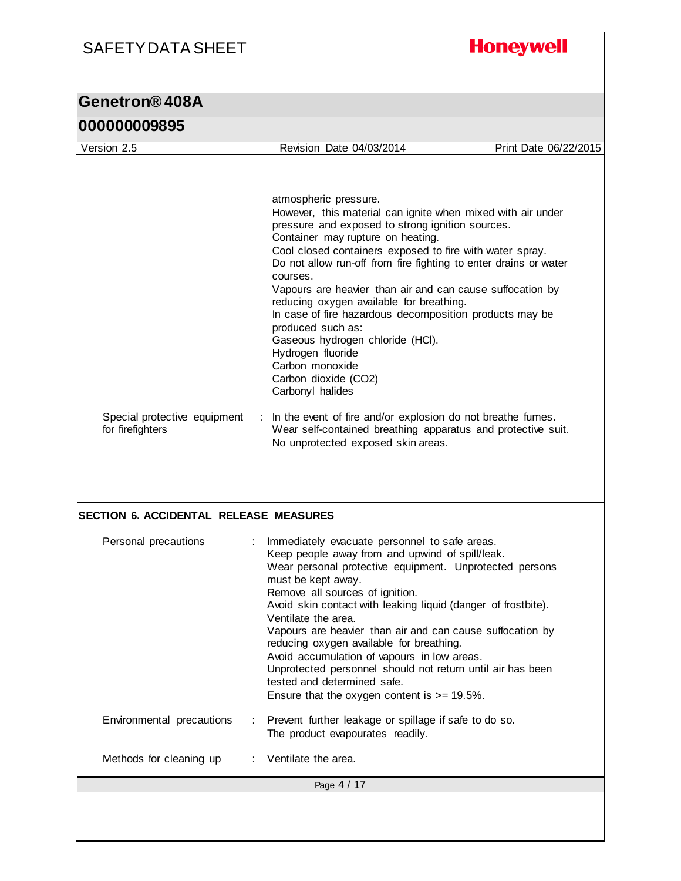**Honeywell** 

| Version 2.5                                   | Revision Date 04/03/2014                                                                           | Print Date 06/22/2015 |
|-----------------------------------------------|----------------------------------------------------------------------------------------------------|-----------------------|
|                                               |                                                                                                    |                       |
|                                               |                                                                                                    |                       |
|                                               | atmospheric pressure.                                                                              |                       |
|                                               | However, this material can ignite when mixed with air under                                        |                       |
|                                               | pressure and exposed to strong ignition sources.<br>Container may rupture on heating.              |                       |
|                                               | Cool closed containers exposed to fire with water spray.                                           |                       |
|                                               | Do not allow run-off from fire fighting to enter drains or water                                   |                       |
|                                               | courses.<br>Vapours are heavier than air and can cause suffocation by                              |                       |
|                                               | reducing oxygen available for breathing.                                                           |                       |
|                                               | In case of fire hazardous decomposition products may be                                            |                       |
|                                               | produced such as:<br>Gaseous hydrogen chloride (HCI).                                              |                       |
|                                               | Hydrogen fluoride                                                                                  |                       |
|                                               | Carbon monoxide                                                                                    |                       |
|                                               | Carbon dioxide (CO2)<br>Carbonyl halides                                                           |                       |
|                                               |                                                                                                    |                       |
| Special protective equipment                  | In the event of fire and/or explosion do not breathe fumes.                                        |                       |
| for firefighters                              | Wear self-contained breathing apparatus and protective suit.<br>No unprotected exposed skin areas. |                       |
|                                               |                                                                                                    |                       |
| <b>SECTION 6. ACCIDENTAL RELEASE MEASURES</b> |                                                                                                    |                       |
| Personal precautions                          | Immediately evacuate personnel to safe areas.                                                      |                       |
|                                               | Keep people away from and upwind of spill/leak.                                                    |                       |
|                                               | Wear personal protective equipment. Unprotected persons                                            |                       |
|                                               | must be kept away.<br>Remove all sources of ignition.                                              |                       |
|                                               | Avoid skin contact with leaking liquid (danger of frostbite).                                      |                       |
|                                               |                                                                                                    |                       |
|                                               | Ventilate the area.                                                                                |                       |
|                                               | Vapours are heavier than air and can cause suffocation by                                          |                       |
|                                               | reducing oxygen available for breathing.<br>Avoid accumulation of vapours in low areas.            |                       |
|                                               | Unprotected personnel should not return until air has been                                         |                       |
|                                               | tested and determined safe.<br>Ensure that the oxygen content is $>= 19.5\%$ .                     |                       |
|                                               |                                                                                                    |                       |
| Environmental precautions                     | Prevent further leakage or spillage if safe to do so.<br>÷.                                        |                       |
|                                               | The product evapourates readily.                                                                   |                       |
| Methods for cleaning up                       | Ventilate the area.                                                                                |                       |
|                                               | Page 4 / 17                                                                                        |                       |
|                                               |                                                                                                    |                       |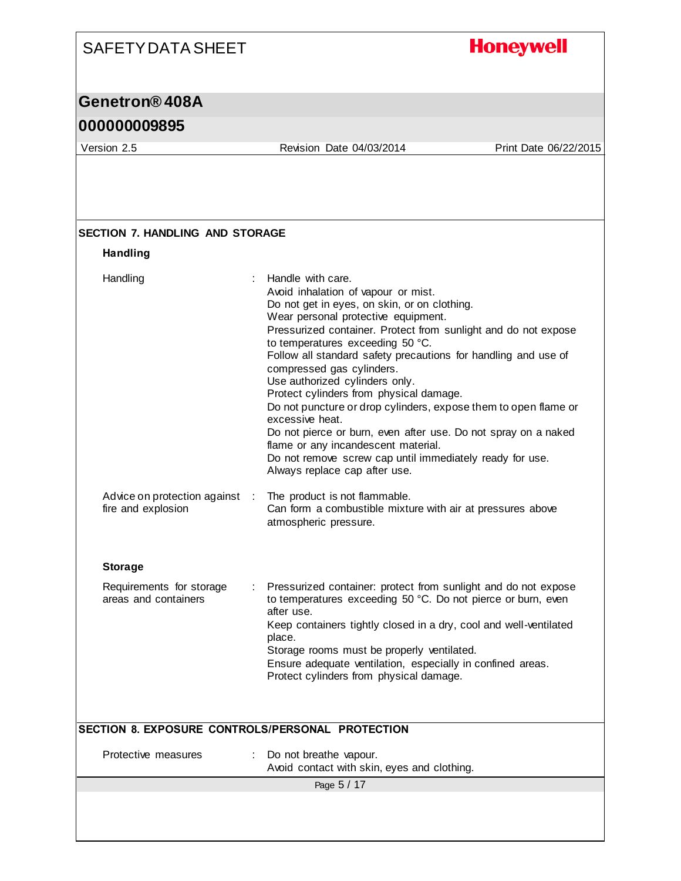#### **Honeywell** SAFETY DATA SHEET **Genetron® 408A 000000009895** Version 2.5 Revision Date 04/03/2014 Print Date 06/22/2015 **SECTION 7. HANDLING AND STORAGE Handling** Handling : Handle with care. Avoid inhalation of vapour or mist. Do not get in eyes, on skin, or on clothing. Wear personal protective equipment. Pressurized container. Protect from sunlight and do not expose to temperatures exceeding 50 °C. Follow all standard safety precautions for handling and use of compressed gas cylinders. Use authorized cylinders only. Protect cylinders from physical damage. Do not puncture or drop cylinders, expose them to open flame or excessive heat. Do not pierce or burn, even after use. Do not spray on a naked flame or any incandescent material. Do not remove screw cap until immediately ready for use. Always replace cap after use. Advice on protection against : The product is not flammable. fire and explosion Can form a combustible mixture with air at pressures above atmospheric pressure. **Storage** Requirements for storage Pressurized container: protect from sunlight and do not expose areas and containers to temperatures exceeding 50 °C. Do not pierce or burn, even after use. Keep containers tightly closed in a dry, cool and well-ventilated place. Storage rooms must be properly ventilated. Ensure adequate ventilation, especially in confined areas. Protect cylinders from physical damage. **SECTION 8. EXPOSURE CONTROLS/PERSONAL PROTECTION** Protective measures : Do not breathe vapour. Avoid contact with skin, eyes and clothing.Page 5 / 17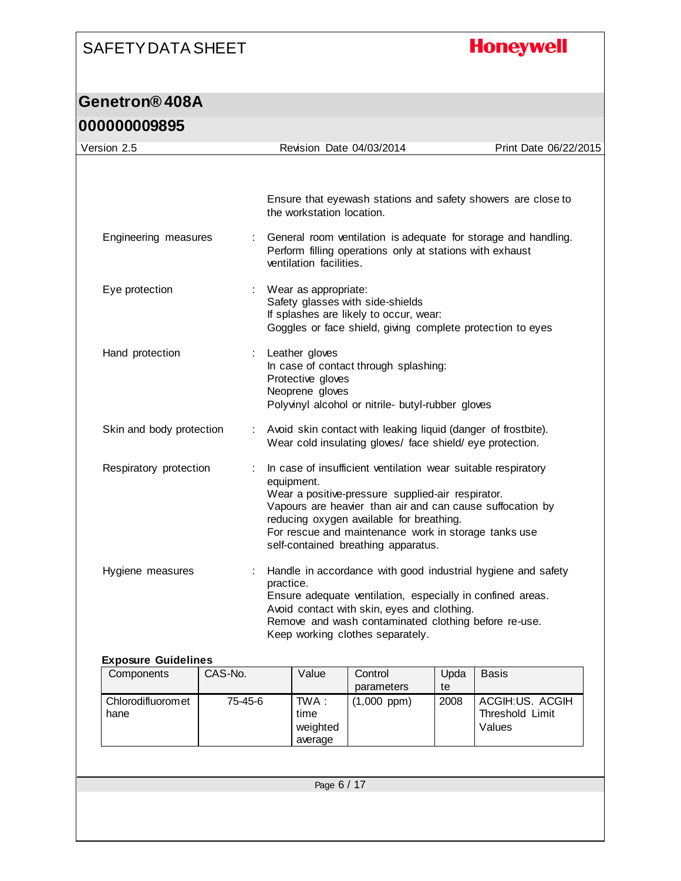## **Honeywell**

#### **Genetron® 408A 000000009895**

| Version 2.5              | Revision Date 04/03/2014                                                                                                                                                                                                                                                                                                                 | Print Date 06/22/2015 |
|--------------------------|------------------------------------------------------------------------------------------------------------------------------------------------------------------------------------------------------------------------------------------------------------------------------------------------------------------------------------------|-----------------------|
|                          | Ensure that eyewash stations and safety showers are close to<br>the workstation location.                                                                                                                                                                                                                                                |                       |
| Engineering measures     | General room ventilation is adequate for storage and handling.<br>Perform filling operations only at stations with exhaust<br>ventilation facilities.                                                                                                                                                                                    |                       |
| Eye protection           | : Wear as appropriate:<br>Safety glasses with side-shields<br>If splashes are likely to occur, wear:<br>Goggles or face shield, giving complete protection to eyes                                                                                                                                                                       |                       |
| Hand protection          | Leather gloves<br>In case of contact through splashing:<br>Protective gloves<br>Neoprene gloves<br>Polyvinyl alcohol or nitrile- butyl-rubber gloves                                                                                                                                                                                     |                       |
| Skin and body protection | Avoid skin contact with leaking liquid (danger of frostbite).<br>$\ddot{\cdot}$<br>Wear cold insulating gloves/ face shield/ eye protection.                                                                                                                                                                                             |                       |
| Respiratory protection   | In case of insufficient ventilation wear suitable respiratory<br>equipment.<br>Wear a positive-pressure supplied-air respirator.<br>Vapours are heavier than air and can cause suffocation by<br>reducing oxygen available for breathing.<br>For rescue and maintenance work in storage tanks use<br>self-contained breathing apparatus. |                       |
| Hygiene measures         | Handle in accordance with good industrial hygiene and safety<br>practice.<br>Ensure adequate ventilation, especially in confined areas.<br>Avoid contact with skin, eyes and clothing.<br>Remove and wash contaminated clothing before re-use.<br>Keep working clothes separately.                                                       |                       |

| Components                 | CAS-No. | Value                                | Control<br>parameters | Upda<br>te | <b>Basis</b>                                 |
|----------------------------|---------|--------------------------------------|-----------------------|------------|----------------------------------------------|
| Chlorodifluorom et<br>hane | 75-45-6 | TWA :<br>time<br>weighted<br>average | $(1,000$ ppm)         | 2008       | ACGIH:US, ACGIH<br>Threshold Limit<br>Values |

Page 6 / 17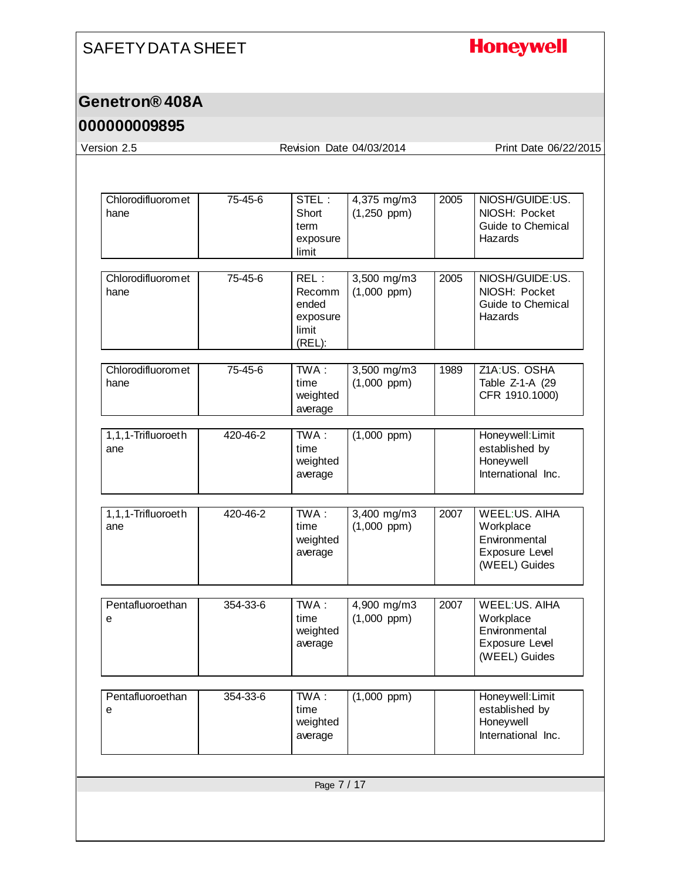# **Honeywell**

### **Genetron® 408A**

| Version 2.5               |          | Revision Date 04/03/2014                               |                                 |      | Print Date 06/22/2015                                                                        |
|---------------------------|----------|--------------------------------------------------------|---------------------------------|------|----------------------------------------------------------------------------------------------|
|                           |          |                                                        |                                 |      |                                                                                              |
| Chlorodifluoromet<br>hane | 75-45-6  | STEL:<br>Short<br>term<br>exposure<br>limit            | 4,375 mg/m3<br>$(1,250$ ppm)    | 2005 | NIOSH/GUIDE:US.<br>NIOSH: Pocket<br>Guide to Chemical<br>Hazards                             |
| Chlorodifluoromet<br>hane | 75-45-6  | REL:<br>Recomm<br>ended<br>exposure<br>limit<br>(REL): | 3,500 mg/m3<br>$(1,000$ ppm $)$ | 2005 | NIOSH/GUIDE:US.<br>NIOSH: Pocket<br>Guide to Chemical<br>Hazards                             |
| Chlorodifluoromet<br>hane | 75-45-6  | TWA:<br>time<br>weighted<br>average                    | 3,500 mg/m3<br>$(1,000$ ppm $)$ | 1989 | Z1A:US, OSHA<br>Table Z-1-A (29<br>CFR 1910.1000)                                            |
| 1,1,1-Trifluoroeth<br>ane | 420-46-2 | TWA:<br>time<br>weighted<br>average                    | $(1,000$ ppm)                   |      | Honeywell: Limit<br>established by<br>Honeywell<br>International Inc.                        |
| 1,1,1-Trifluoroeth<br>ane | 420-46-2 | TWA:<br>time<br>weighted<br>average                    | 3,400 mg/m3<br>$(1,000$ ppm $)$ | 2007 | <b>WEEL:US. AIHA</b><br>Workplace<br>Environmental<br><b>Exposure Level</b><br>(WEEL) Guides |
| Pentafluoroethan<br>е     | 354-33-6 | TWA:<br>time<br>weighted<br>average                    | 4,900 mg/m3<br>$(1,000$ ppm $)$ | 2007 | <b>WEEL:US. AIHA</b><br>Workplace<br>Environmental<br>Exposure Level<br>(WEEL) Guides        |
| Pentafluoroethan<br>е     | 354-33-6 | TWA:<br>time<br>weighted<br>average                    | $(1,000$ ppm $)$                |      | Honeywell: Limit<br>established by<br>Honeywell<br>International Inc.                        |
|                           |          | Page 7 / 17                                            |                                 |      |                                                                                              |
|                           |          |                                                        |                                 |      |                                                                                              |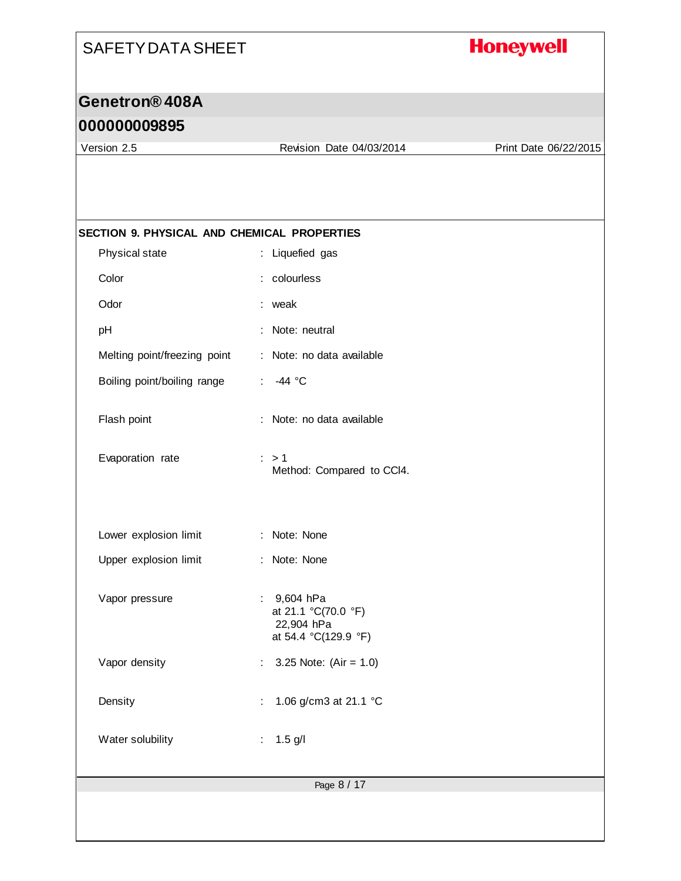## **Honeywell**

### **Genetron® 408A**

#### **000000009895**

Version 2.5 Revision Date 04/03/2014 Print Date 06/22/2015

| SECTION 9. PHYSICAL AND CHEMICAL PROPERTIES |                                                                          |
|---------------------------------------------|--------------------------------------------------------------------------|
| Physical state                              | : Liquefied gas                                                          |
| Color                                       | : colourless                                                             |
| Odor                                        | : weak                                                                   |
| pH                                          | Note: neutral                                                            |
| Melting point/freezing point                | : Note: no data available                                                |
| Boiling point/boiling range                 | -44 °C<br>÷                                                              |
| Flash point                                 | : Note: no data available                                                |
| Evaporation rate                            | $\therefore$ > 1<br>Method: Compared to CCI4.                            |
| Lower explosion limit                       | : Note: None                                                             |
| Upper explosion limit                       | : Note: None                                                             |
| Vapor pressure                              | : 9,604 hPa<br>at 21.1 °C(70.0 °F)<br>22,904 hPa<br>at 54.4 °C(129.9 °F) |
| Vapor density                               | 3.25 Note: $(Air = 1.0)$                                                 |
| Density                                     | 1.06 g/cm3 at 21.1 °C<br>÷                                               |
| Water solubility                            | $1.5$ g/l<br>÷.                                                          |
|                                             | Page 8 / 17                                                              |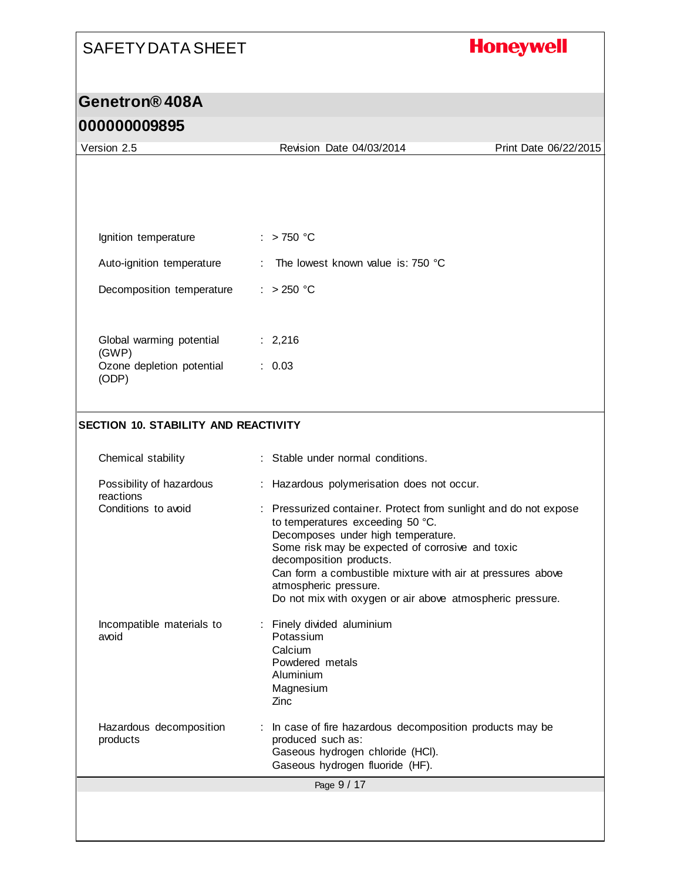# **Honeywell**

| 000000009895                                |                                                                                                                                                                                                                                                                                                                                                                             |                       |
|---------------------------------------------|-----------------------------------------------------------------------------------------------------------------------------------------------------------------------------------------------------------------------------------------------------------------------------------------------------------------------------------------------------------------------------|-----------------------|
| Version 2.5                                 | Revision Date 04/03/2014                                                                                                                                                                                                                                                                                                                                                    | Print Date 06/22/2015 |
|                                             |                                                                                                                                                                                                                                                                                                                                                                             |                       |
| Ignition temperature                        | $:$ > 750 °C                                                                                                                                                                                                                                                                                                                                                                |                       |
| Auto-ignition temperature                   | The lowest known value is: 750 °C                                                                                                                                                                                                                                                                                                                                           |                       |
| Decomposition temperature                   | $: >250$ °C                                                                                                                                                                                                                                                                                                                                                                 |                       |
| Global warming potential<br>(GWP)           | : 2,216                                                                                                                                                                                                                                                                                                                                                                     |                       |
| Ozone depletion potential<br>(ODP)          | : 0.03                                                                                                                                                                                                                                                                                                                                                                      |                       |
| <b>SECTION 10. STABILITY AND REACTIVITY</b> |                                                                                                                                                                                                                                                                                                                                                                             |                       |
| Chemical stability                          | : Stable under normal conditions.                                                                                                                                                                                                                                                                                                                                           |                       |
| Possibility of hazardous<br>reactions       | : Hazardous polymerisation does not occur.                                                                                                                                                                                                                                                                                                                                  |                       |
| Conditions to avoid                         | Pressurized container. Protect from sunlight and do not expose<br>to temperatures exceeding 50 °C.<br>Decomposes under high temperature.<br>Some risk may be expected of corrosive and toxic<br>decomposition products.<br>Can form a combustible mixture with air at pressures above<br>atmospheric pressure.<br>Do not mix with oxygen or air above atmospheric pressure. |                       |
| Incompatible materials to<br>avoid          | Finely divided aluminium<br>Potassium<br>Calcium<br>Powdered metals<br>Aluminium<br>Magnesium<br>Zinc                                                                                                                                                                                                                                                                       |                       |
| Hazardous decomposition<br>products         | In case of fire hazardous decomposition products may be<br>produced such as:<br>Gaseous hydrogen chloride (HCI).<br>Gaseous hydrogen fluoride (HF).                                                                                                                                                                                                                         |                       |
|                                             | Page 9 / 17                                                                                                                                                                                                                                                                                                                                                                 |                       |
|                                             |                                                                                                                                                                                                                                                                                                                                                                             |                       |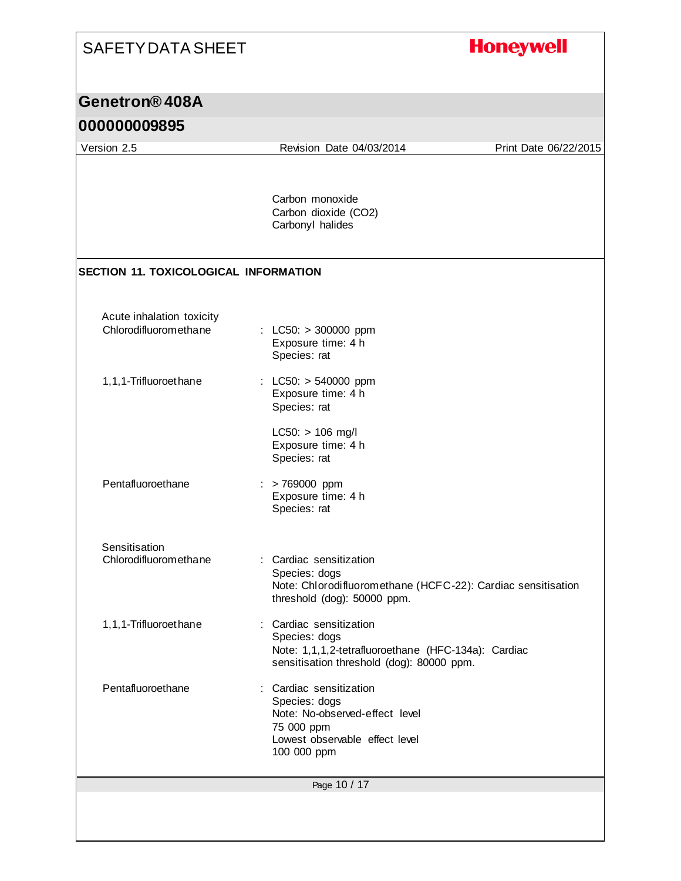| <b>SAFETY DATA SHEET</b>                           |                                                                                                                                              | <b>Honeywell</b>      |
|----------------------------------------------------|----------------------------------------------------------------------------------------------------------------------------------------------|-----------------------|
| Genetron <sup>®</sup> 408A                         |                                                                                                                                              |                       |
| 000000009895                                       |                                                                                                                                              |                       |
| Version 2.5                                        | Revision Date 04/03/2014                                                                                                                     | Print Date 06/22/2015 |
|                                                    | Carbon monoxide<br>Carbon dioxide (CO2)<br>Carbonyl halides                                                                                  |                       |
| <b>SECTION 11. TOXICOLOGICAL INFORMATION</b>       |                                                                                                                                              |                       |
| Acute inhalation toxicity<br>Chlorodifluoromethane | : LC50: $> 300000$ ppm<br>Exposure time: 4 h<br>Species: rat                                                                                 |                       |
| 1,1,1-Trifluoroethane                              | : LC50: $> 540000$ ppm<br>Exposure time: 4 h<br>Species: rat<br>$LC50: > 106$ mg/l<br>Exposure time: 4 h                                     |                       |
| Pentafluoroethane                                  | Species: rat<br>$:$ > 769000 ppm<br>Exposure time: 4 h<br>Species: rat                                                                       |                       |
| Sensitisation<br>Chlorodifluoromethane             | : Cardiac sensitization<br>Species: dogs<br>Note: Chlorodifluoromethane (HCFC-22): Cardiac sensitisation<br>threshold (dog): 50000 ppm.      |                       |
| 1,1,1-Trifluoroethane                              | : Cardiac sensitization<br>Species: dogs<br>Note: 1,1,1,2-tetrafluoroethane (HFC-134a): Cardiac<br>sensitisation threshold (dog): 80000 ppm. |                       |
| Pentafluoroethane                                  | : Cardiac sensitization<br>Species: dogs<br>Note: No-observed-effect level<br>75 000 ppm<br>Lowest observable effect level<br>100 000 ppm    |                       |
|                                                    | Page 10 / 17                                                                                                                                 |                       |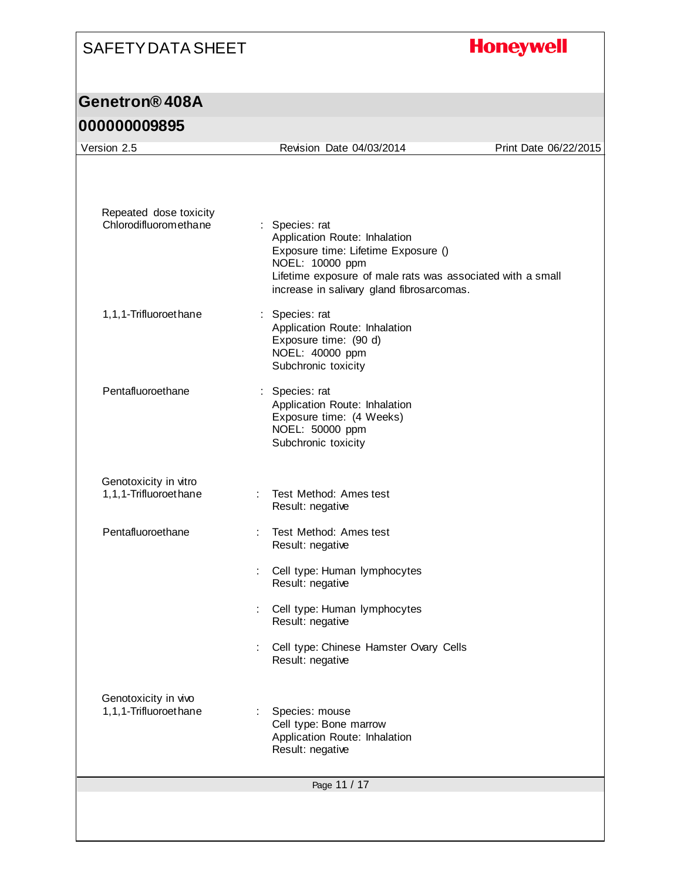# **Honeywell**

### **Genetron® 408A**

| Repeated dose toxicity<br>Chlorodifluoromethane | : Species: rat<br>Application Route: Inhalation<br>Exposure time: Lifetime Exposure ()                                     |  |
|-------------------------------------------------|----------------------------------------------------------------------------------------------------------------------------|--|
|                                                 |                                                                                                                            |  |
|                                                 | NOEL: 10000 ppm<br>Lifetime exposure of male rats was associated with a small<br>increase in salivary gland fibrosarcomas. |  |
| 1,1,1-Trifluoroethane                           | : Species: rat<br>Application Route: Inhalation<br>Exposure time: (90 d)<br>NOEL: 40000 ppm<br>Subchronic toxicity         |  |
| Pentafluoroethane                               | : Species: rat<br>Application Route: Inhalation<br>Exposure time: (4 Weeks)<br>NOEL: 50000 ppm<br>Subchronic toxicity      |  |
| Genotoxicity in vitro<br>1,1,1-Trifluoroethane  | Test Method: Ames test<br>Result: negative                                                                                 |  |
| Pentafluoroethane                               | Test Method: Ames test<br>Result: negative                                                                                 |  |
|                                                 | Cell type: Human lymphocytes<br>Result: negative                                                                           |  |
|                                                 | Cell type: Human lymphocytes<br>Result: negative                                                                           |  |
|                                                 | Cell type: Chinese Hamster Ovary Cells<br>Result: negative                                                                 |  |
| Genotoxicity in vivo<br>1,1,1-Trifluoroethane   | Species: mouse<br>Cell type: Bone marrow<br>Application Route: Inhalation<br>Result: negative                              |  |
|                                                 | Page 11 / 17                                                                                                               |  |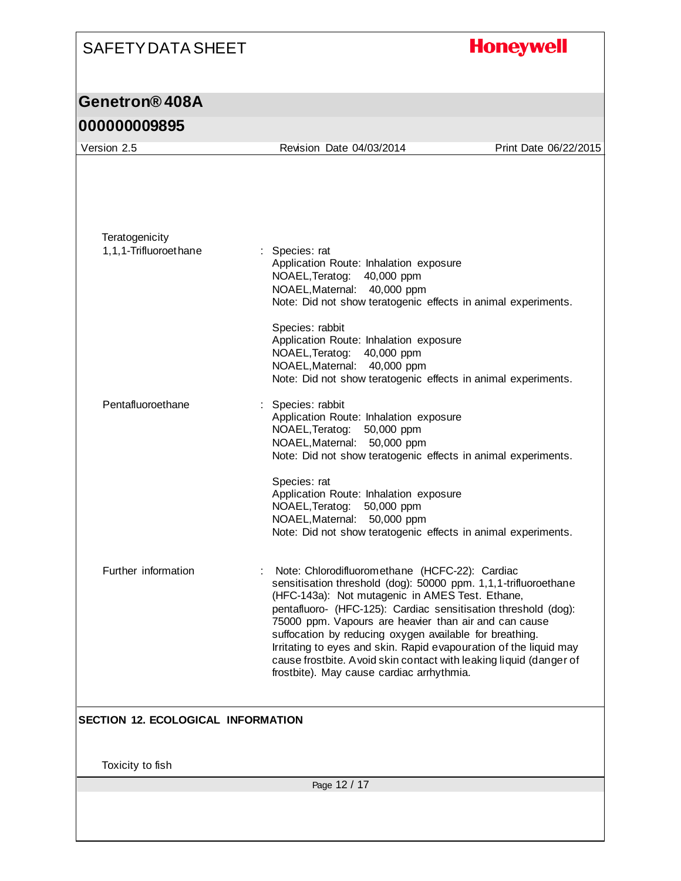# **Honeywell**

| Version 2.5                               | Revision Date 04/03/2014                                                                                                                                                                                                                                                                                                                                                                                                                                                                                                                            | Print Date 06/22/2015 |
|-------------------------------------------|-----------------------------------------------------------------------------------------------------------------------------------------------------------------------------------------------------------------------------------------------------------------------------------------------------------------------------------------------------------------------------------------------------------------------------------------------------------------------------------------------------------------------------------------------------|-----------------------|
|                                           |                                                                                                                                                                                                                                                                                                                                                                                                                                                                                                                                                     |                       |
| Teratogenicity<br>1,1,1-Trifluoroethane   | : Species: rat<br>Application Route: Inhalation exposure<br>NOAEL, Teratog:<br>40,000 ppm<br>NOAEL, Maternal: 40,000 ppm<br>Note: Did not show teratogenic effects in animal experiments.<br>Species: rabbit                                                                                                                                                                                                                                                                                                                                        |                       |
|                                           | Application Route: Inhalation exposure<br>NOAEL, Teratog:<br>40,000 ppm<br>NOAEL, Maternal: 40,000 ppm<br>Note: Did not show teratogenic effects in animal experiments.                                                                                                                                                                                                                                                                                                                                                                             |                       |
| Pentafluoroethane                         | Species: rabbit<br>Application Route: Inhalation exposure<br>NOAEL, Teratog:<br>50,000 ppm<br>NOAEL, Maternal: 50,000 ppm<br>Note: Did not show teratogenic effects in animal experiments.                                                                                                                                                                                                                                                                                                                                                          |                       |
|                                           | Species: rat<br>Application Route: Inhalation exposure<br>NOAEL, Teratog:<br>50,000 ppm<br>NOAEL, Maternal: 50,000 ppm<br>Note: Did not show teratogenic effects in animal experiments.                                                                                                                                                                                                                                                                                                                                                             |                       |
| Further information                       | Note: Chlorodifluoromethane (HCFC-22): Cardiac<br>sensitisation threshold (dog): 50000 ppm. 1,1,1-trifluoroethane<br>(HFC-143a): Not mutagenic in AMES Test. Ethane,<br>pentafluoro- (HFC-125): Cardiac sensitisation threshold (dog):<br>75000 ppm. Vapours are heavier than air and can cause<br>suffocation by reducing oxygen available for breathing.<br>Irritating to eyes and skin. Rapid evapouration of the liquid may<br>cause frostbite. A void skin contact with leaking liquid (danger of<br>frostbite). May cause cardiac arrhythmia. |                       |
| <b>SECTION 12. ECOLOGICAL INFORMATION</b> |                                                                                                                                                                                                                                                                                                                                                                                                                                                                                                                                                     |                       |
| Toxicity to fish                          |                                                                                                                                                                                                                                                                                                                                                                                                                                                                                                                                                     |                       |
|                                           | Page 12 / 17                                                                                                                                                                                                                                                                                                                                                                                                                                                                                                                                        |                       |
|                                           |                                                                                                                                                                                                                                                                                                                                                                                                                                                                                                                                                     |                       |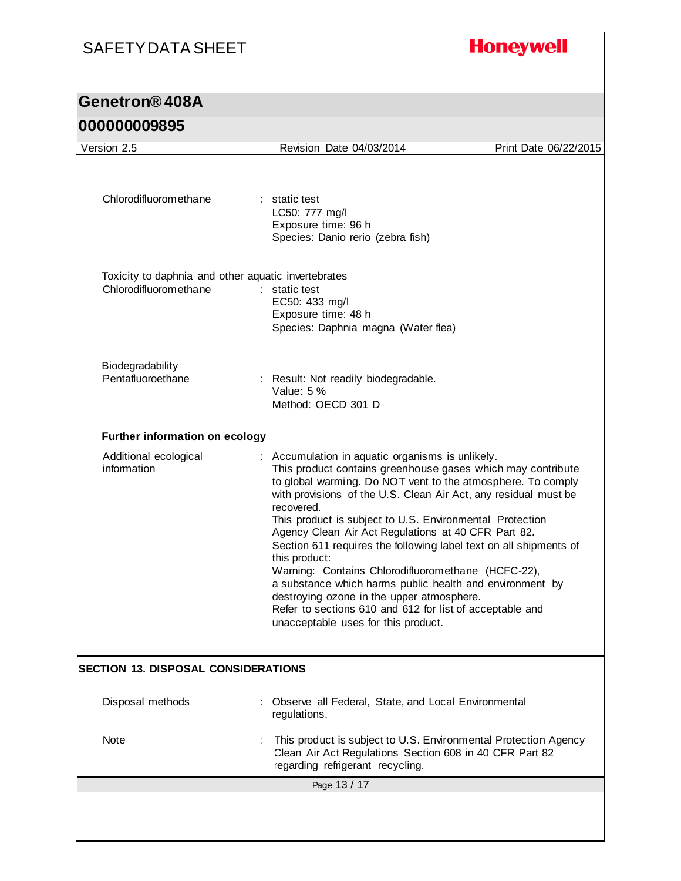# **Honeywell**

## **Genetron® 408A**

| Version 2.5                                                                  | Revision Date 04/03/2014                                                                                                                                                                                                                                                                                                                                                                                                                                                                                                                                                                                                                                                                                                                   | Print Date 06/22/2015 |
|------------------------------------------------------------------------------|--------------------------------------------------------------------------------------------------------------------------------------------------------------------------------------------------------------------------------------------------------------------------------------------------------------------------------------------------------------------------------------------------------------------------------------------------------------------------------------------------------------------------------------------------------------------------------------------------------------------------------------------------------------------------------------------------------------------------------------------|-----------------------|
| Chlorodifluoromethane                                                        | : static test<br>LC50: 777 mg/l<br>Exposure time: 96 h<br>Species: Danio rerio (zebra fish)                                                                                                                                                                                                                                                                                                                                                                                                                                                                                                                                                                                                                                                |                       |
| Toxicity to daphnia and other aquatic invertebrates<br>Chlorodifluoromethane | : static test<br>EC50: 433 mg/l<br>Exposure time: 48 h<br>Species: Daphnia magna (Water flea)                                                                                                                                                                                                                                                                                                                                                                                                                                                                                                                                                                                                                                              |                       |
| Biodegradability<br>Pentafluoroethane                                        | : Result: Not readily biodegradable.<br>Value: 5 %<br>Method: OECD 301 D                                                                                                                                                                                                                                                                                                                                                                                                                                                                                                                                                                                                                                                                   |                       |
| Further information on ecology                                               |                                                                                                                                                                                                                                                                                                                                                                                                                                                                                                                                                                                                                                                                                                                                            |                       |
| Additional ecological<br>information                                         | : Accumulation in aquatic organisms is unlikely.<br>This product contains greenhouse gases which may contribute<br>to global warming. Do NOT vent to the atmosphere. To comply<br>with provisions of the U.S. Clean Air Act, any residual must be<br>recovered.<br>This product is subject to U.S. Environmental Protection<br>Agency Clean Air Act Regulations at 40 CFR Part 82.<br>Section 611 requires the following label text on all shipments of<br>this product:<br>Warning: Contains Chlorodifluoromethane (HCFC-22),<br>a substance which harms public health and environment by<br>destroying ozone in the upper atmosphere.<br>Refer to sections 610 and 612 for list of acceptable and<br>unacceptable uses for this product. |                       |
| SECTION 13. DISPOSAL CONSIDERATIONS                                          |                                                                                                                                                                                                                                                                                                                                                                                                                                                                                                                                                                                                                                                                                                                                            |                       |
| Disposal methods                                                             | Observe all Federal, State, and Local Environmental<br>regulations.                                                                                                                                                                                                                                                                                                                                                                                                                                                                                                                                                                                                                                                                        |                       |
| <b>Note</b>                                                                  | This product is subject to U.S. Environmental Protection Agency<br>Clean Air Act Regulations Section 608 in 40 CFR Part 82<br>regarding refrigerant recycling.                                                                                                                                                                                                                                                                                                                                                                                                                                                                                                                                                                             |                       |
|                                                                              | Page 13 / 17                                                                                                                                                                                                                                                                                                                                                                                                                                                                                                                                                                                                                                                                                                                               |                       |
|                                                                              |                                                                                                                                                                                                                                                                                                                                                                                                                                                                                                                                                                                                                                                                                                                                            |                       |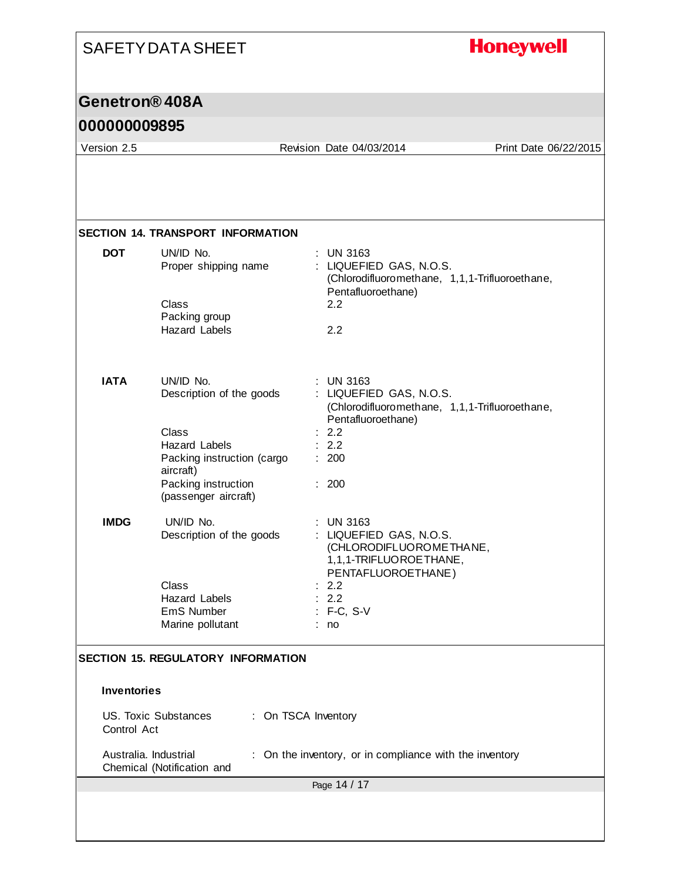#### **Honeywell** SAFETY DATA SHEET **Genetron® 408A 000000009895** Version 2.5 Revision Date 04/03/2014 Print Date 06/22/2015 **SECTION 14. TRANSPORT INFORMATION DOT** UN/ID No. : UN 3163 Proper shipping name : LIQUEFIED GAS, N.O.S. (Chlorodifluoromethane, 1,1,1-Trifluoroethane, Pentafluoroethane) Class 2.2 Packing group Hazard Labels 2.2 **IATA** UN/ID No. : UN 3163 Description of the goods : LIQUEFIED GAS, N.O.S. (Chlorodifluoromethane, 1,1,1-Trifluoroethane, Pentafluoroethane) Class : 2.2 Hazard Labels : 2.2 Packing instruction (cargo : 200 aircraft) Packing instruction : 200 (passenger aircraft) **IMDG** UN/ID No. : UN 3163 Description of the goods : LIQUEFIED GAS, N.O.S. (CHLORODIFLUOROMETHANE, 1,1,1-TRIFLUOROETHANE, PENTAFLUOROETHANE) Class : 2.2 Hazard Labels : 2.2 EmS Number : F-C, S-V Marine pollutant : no **SECTION 15. REGULATORY INFORMATION Inventories** US. Toxic Substances : On TSCA Inventory Control Act Australia. Industrial : On the inventory, or in compliance with the inventoryChemical (Notification and Page 14 / 17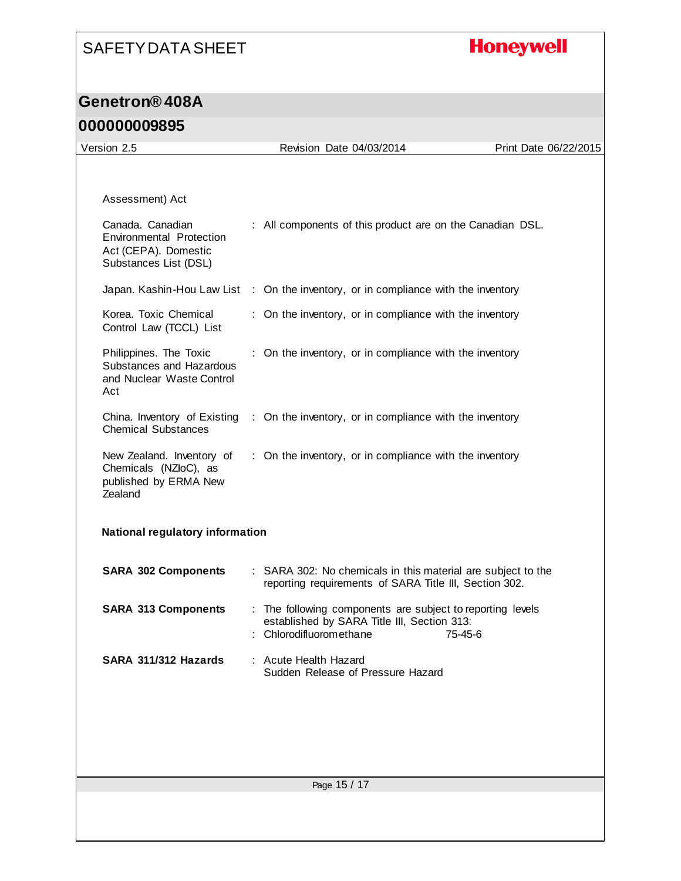# **Honeywell**

| Version 2.5                                                                                          |  |                                                                                                                                    |                       |  |
|------------------------------------------------------------------------------------------------------|--|------------------------------------------------------------------------------------------------------------------------------------|-----------------------|--|
|                                                                                                      |  | Revision Date 04/03/2014                                                                                                           | Print Date 06/22/2015 |  |
|                                                                                                      |  |                                                                                                                                    |                       |  |
| Assessment) Act                                                                                      |  |                                                                                                                                    |                       |  |
| Canada. Canadian<br><b>Environmental Protection</b><br>Act (CEPA). Domestic<br>Substances List (DSL) |  | : All components of this product are on the Canadian DSL.                                                                          |                       |  |
|                                                                                                      |  | Japan. Kashin-Hou Law List : On the inventory, or in compliance with the inventory                                                 |                       |  |
| Korea. Toxic Chemical<br>Control Law (TCCL) List                                                     |  | : On the inventory, or in compliance with the inventory                                                                            |                       |  |
| Philippines. The Toxic<br>Substances and Hazardous<br>and Nuclear Waste Control<br>Act               |  | : On the inventory, or in compliance with the inventory                                                                            |                       |  |
| China. Inventory of Existing<br><b>Chemical Substances</b>                                           |  | : On the inventory, or in compliance with the inventory                                                                            |                       |  |
| New Zealand. Inventory of<br>Chemicals (NZloC), as<br>published by ERMA New<br>Zealand               |  | : On the inventory, or in compliance with the inventory                                                                            |                       |  |
| National regulatory information                                                                      |  |                                                                                                                                    |                       |  |
| <b>SARA 302 Components</b>                                                                           |  | : SARA 302: No chemicals in this material are subject to the<br>reporting requirements of SARA Title III, Section 302.             |                       |  |
| <b>SARA 313 Components</b>                                                                           |  | : The following components are subject to reporting levels<br>established by SARA Title III, Section 313:<br>Chlorodifluoromethane | 75-45-6               |  |
| SARA 311/312 Hazards                                                                                 |  | : Acute Health Hazard<br>Sudden Release of Pressure Hazard                                                                         |                       |  |
|                                                                                                      |  |                                                                                                                                    |                       |  |
|                                                                                                      |  |                                                                                                                                    |                       |  |
|                                                                                                      |  |                                                                                                                                    |                       |  |
| Page 15 / 17                                                                                         |  |                                                                                                                                    |                       |  |
|                                                                                                      |  |                                                                                                                                    |                       |  |
|                                                                                                      |  |                                                                                                                                    |                       |  |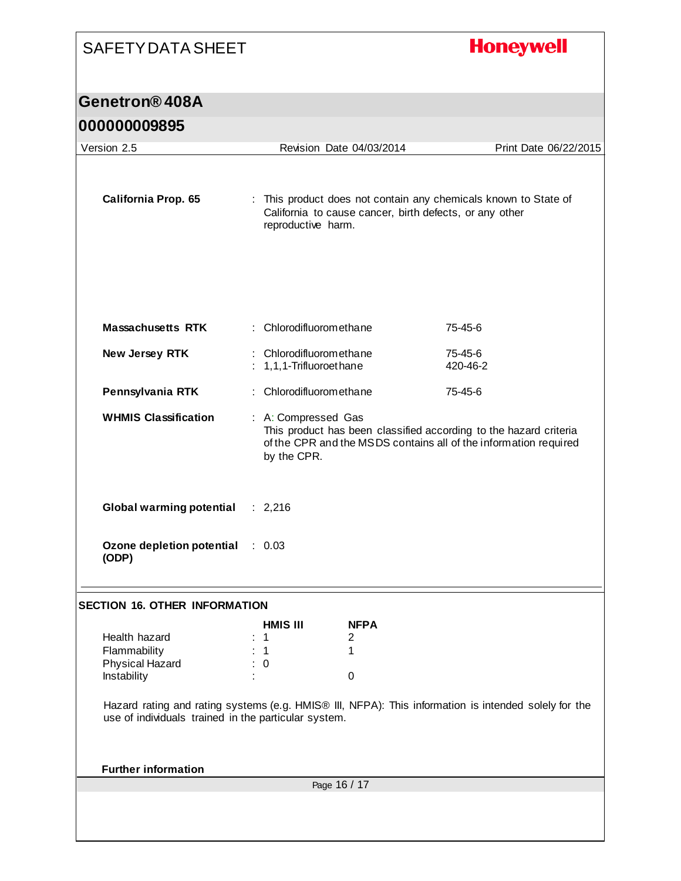# **Honeywell**

| <u> ARRNANAND NU</u>                                            |                                                                                                                                                                             |                                                         |                                                                                                      |  |  |
|-----------------------------------------------------------------|-----------------------------------------------------------------------------------------------------------------------------------------------------------------------------|---------------------------------------------------------|------------------------------------------------------------------------------------------------------|--|--|
| Version 2.5                                                     | Revision Date 04/03/2014                                                                                                                                                    | Print Date 06/22/2015                                   |                                                                                                      |  |  |
| <b>California Prop. 65</b>                                      | reproductive harm.                                                                                                                                                          | California to cause cancer, birth defects, or any other | : This product does not contain any chemicals known to State of                                      |  |  |
| <b>Massachusetts RTK</b>                                        | : Chlorodifluoromethane                                                                                                                                                     |                                                         | 75-45-6                                                                                              |  |  |
| New Jersey RTK                                                  | : Chlorodifluoromethane<br>: 1,1,1-Trifluoroethane                                                                                                                          | 75-45-6<br>420-46-2                                     |                                                                                                      |  |  |
| Pennsylvania RTK                                                | : Chlorodifluoromethane                                                                                                                                                     |                                                         | 75-45-6                                                                                              |  |  |
| <b>WHMIS Classification</b>                                     | : A: Compressed Gas<br>This product has been classified according to the hazard criteria<br>of the CPR and the MSDS contains all of the information required<br>by the CPR. |                                                         |                                                                                                      |  |  |
| <b>Global warming potential</b>                                 | : 2,216                                                                                                                                                                     |                                                         |                                                                                                      |  |  |
| Ozone depletion potential<br>(ODP)                              | $\therefore$ 0.03                                                                                                                                                           |                                                         |                                                                                                      |  |  |
| <b>SECTION 16. OTHER INFORMATION</b>                            |                                                                                                                                                                             |                                                         |                                                                                                      |  |  |
|                                                                 | <b>HMIS III</b>                                                                                                                                                             | <b>NFPA</b>                                             |                                                                                                      |  |  |
| Health hazard<br>Flammability<br>Physical Hazard<br>Instability | 1<br>$\mathbf{1}$<br>$\overline{\mathbf{0}}$                                                                                                                                | 2<br>1<br>$\boldsymbol{0}$                              |                                                                                                      |  |  |
| use of individuals trained in the particular system.            |                                                                                                                                                                             |                                                         | Hazard rating and rating systems (e.g. HMIS® III, NFPA): This information is intended solely for the |  |  |
| <b>Further information</b>                                      |                                                                                                                                                                             |                                                         |                                                                                                      |  |  |
|                                                                 |                                                                                                                                                                             | Page 16 / 17                                            |                                                                                                      |  |  |